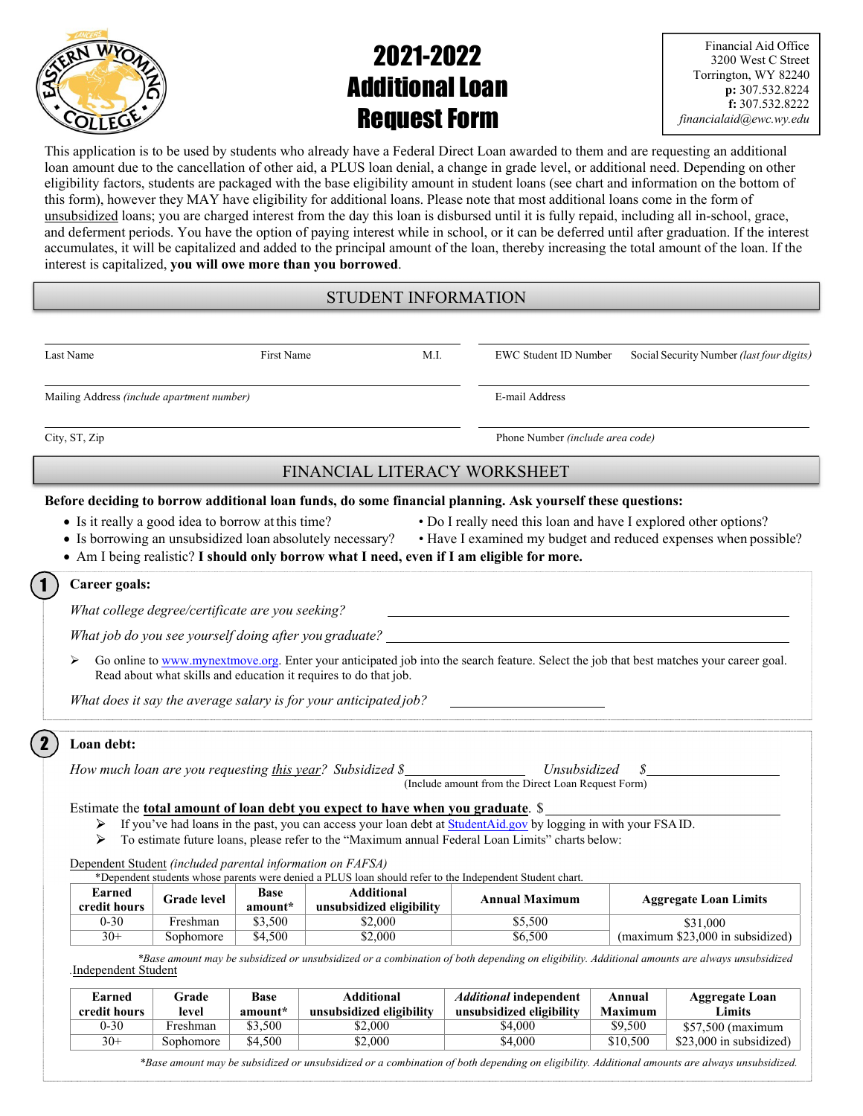

# 2021-2022 Additional Loan Request Form

Financial Aid Office 3200 West C Street Torrington, WY 82240 **p:** 307.532.8224 **f:** 307.532.8222 *financialaid@ewc.wy.edu* 

This application is to be used by students who already have a Federal Direct Loan awarded to them and are requesting an additional loan amount due to the cancellation of other aid, a PLUS loan denial, a change in grade level, or additional need. Depending on other eligibility factors, students are packaged with the base eligibility amount in student loans (see chart and information on the bottom of this form), however they MAY have eligibility for additional loans. Please note that most additional loans come in the form of unsubsidized loans; you are charged interest from the day this loan is disbursed until it is fully repaid, including all in-school, grace, and deferment periods. You have the option of paying interest while in school, or it can be deferred until after graduation. If the interest accumulates, it will be capitalized and added to the principal amount of the loan, thereby increasing the total amount of the loan. If the interest is capitalized, **you will owe more than you borrowed**.

## STUDENT INFORMATION

|                                                            |                                                        | First Name             |                                                                                                                                                        | M.I. | EWC Student ID Number                                                                                                                                                                                               | Social Security Number (last four digits)                                                                                               |  |  |
|------------------------------------------------------------|--------------------------------------------------------|------------------------|--------------------------------------------------------------------------------------------------------------------------------------------------------|------|---------------------------------------------------------------------------------------------------------------------------------------------------------------------------------------------------------------------|-----------------------------------------------------------------------------------------------------------------------------------------|--|--|
| Mailing Address (include apartment number)                 |                                                        |                        |                                                                                                                                                        |      | E-mail Address                                                                                                                                                                                                      |                                                                                                                                         |  |  |
| City, ST, Zip                                              |                                                        |                        |                                                                                                                                                        |      | Phone Number (include area code)                                                                                                                                                                                    |                                                                                                                                         |  |  |
|                                                            |                                                        |                        | FINANCIAL LITERACY WORKSHEET                                                                                                                           |      |                                                                                                                                                                                                                     |                                                                                                                                         |  |  |
| • Is it really a good idea to borrow at this time?         |                                                        |                        | • Is borrowing an unsubsidized loan absolutely necessary?<br>• Am I being realistic? I should only borrow what I need, even if I am eligible for more. |      | Before deciding to borrow additional loan funds, do some financial planning. Ask yourself these questions:                                                                                                          | • Do I really need this loan and have I explored other options?<br>• Have I examined my budget and reduced expenses when possible?      |  |  |
| Career goals:                                              |                                                        |                        |                                                                                                                                                        |      |                                                                                                                                                                                                                     |                                                                                                                                         |  |  |
|                                                            | What college degree/certificate are you seeking?       |                        |                                                                                                                                                        |      |                                                                                                                                                                                                                     |                                                                                                                                         |  |  |
|                                                            | What job do you see yourself doing after you graduate? |                        |                                                                                                                                                        |      |                                                                                                                                                                                                                     |                                                                                                                                         |  |  |
|                                                            |                                                        |                        |                                                                                                                                                        |      |                                                                                                                                                                                                                     | Go online to www.mynextmove.org. Enter your anticipated job into the search feature. Select the job that best matches your career goal. |  |  |
|                                                            |                                                        |                        | Read about what skills and education it requires to do that job.<br>What does it say the average salary is for your anticipated job?                   |      |                                                                                                                                                                                                                     |                                                                                                                                         |  |  |
| Loan debt:                                                 |                                                        |                        |                                                                                                                                                        |      |                                                                                                                                                                                                                     |                                                                                                                                         |  |  |
|                                                            |                                                        |                        | How much loan are you requesting this year? Subsidized \$                                                                                              |      | <i>Unsubsidized</i><br>(Include amount from the Direct Loan Request Form)                                                                                                                                           | S                                                                                                                                       |  |  |
|                                                            |                                                        |                        | Estimate the <u>total amount of loan debt you expect to have when you graduate</u> . \$                                                                |      |                                                                                                                                                                                                                     |                                                                                                                                         |  |  |
| ➤<br>⋗                                                     |                                                        |                        |                                                                                                                                                        |      | If you've had loans in the past, you can access your loan debt at StudentAid.gov by logging in with your FSAID.<br>To estimate future loans, please refer to the "Maximum annual Federal Loan Limits" charts below: |                                                                                                                                         |  |  |
| Dependent Student (included parental information on FAFSA) |                                                        |                        |                                                                                                                                                        |      |                                                                                                                                                                                                                     |                                                                                                                                         |  |  |
| Earned<br>credit hours                                     | <b>Grade</b> level                                     | <b>Base</b><br>amount* | *Dependent students whose parents were denied a PLUS loan should refer to the Independent Student chart.<br><b>Additional</b>                          |      | <b>Annual Maximum</b>                                                                                                                                                                                               | <b>Aggregate Loan Limits</b>                                                                                                            |  |  |
| $0 - 30$<br>$30+$                                          | Freshman<br>Sophomore                                  | \$3,500<br>\$4,500     | unsubsidized eligibility<br>\$2,000<br>\$2,000                                                                                                         |      | \$5,500<br>\$6,500                                                                                                                                                                                                  | \$31,000<br>(maximum \$23,000 in subsidized)                                                                                            |  |  |

| Earned<br>credit hours | Grade<br>level | Base<br>amount* | <b>Additional</b><br>unsubsidized eligibility | <i><b>Additional independent</b></i><br>unsubsidized eligibility | Annual<br><b>Maximum</b> | <b>Aggregate Loan</b><br>Limits |
|------------------------|----------------|-----------------|-----------------------------------------------|------------------------------------------------------------------|--------------------------|---------------------------------|
| $0 - 30$               | Freshman       | \$3,500         | \$2,000                                       | \$4.000                                                          | \$9,500                  | \$57,500 (maximum               |
| $30+$                  | Sophomore      | \$4.500         | \$2,000                                       | \$4,000                                                          | \$10,500                 | \$23,000 in subsidized)         |

*\*Base amount may be subsidized or unsubsidized or a combination of both depending on eligibility. Additional amounts are always unsubsidized.*